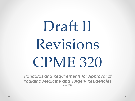# Draft II Revisions CPME 320

*Standards and Requirements for Approval of Podiatric Medicine and Surgery Residencies May 2022*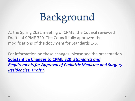# Background

At the Spring 2021 meeting of CPME, the Council reviewed Draft I of CPME 320. The Council fully approved the modifications of the document for Standards 1-5.

For information on these changes, please see the presentation **Substantive Changes to CPME 320,** *Standards and [Requirements for Approval of Podiatric Medicine and Surgery](https://www.cpme.org/files/CPME/CPME%20320%20Substantive%20Changes%20Presentation.pdf)  Residencies, Draft I.*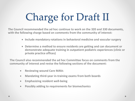# Charge for Draft II

**The Council recommended the ad hoc continue to work on the 320 and 330 documents, with the following charge based on comments from the community of interest:**

- **Include mandatory rotations in behavioral medicine and vascular surgery**
- **Determine a method to ensure residents are getting and can document or demonstrate adequate training in outpatient podiatric experiences (clinic or private practice offices)**

**The Council also recommended the ad hoc Committee focus on comments from the community of interest and revise the following sections of the document:**

- **Reviewing wound Care MAVs**
- **Mandating third-year in-training exams from both boards**
- **Emphasizing resident well-being**
- **Possibly adding to requirements for biomechanics**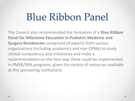# Blue Ribbon Panel

The Council also recommended the formation of a **Blue Ribbon Panel for Milestone Education in Podiatric Medicine and Surgery Residencies** comprised of experts from various organizations (including academics and non-DPMs) to study clinical competency and milestones and make a recommendation on the best way these could be implemented in PMSR/RRA programs, given the variety of resources available at the sponsoring institutions.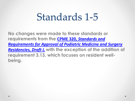## Standards 1-5

**No changes were made to these standards or requirements from the CPME 320,** *Standards and [Requirements for Approval of Podiatric Medicine and Surgery](https://www.cpme.org/files/CPME/CPME%20320%20Draft%20I.pdf)  Residencies, Draft I,* **with the exception of the addition of requirement 3.13, which focuses on resident wellbeing.**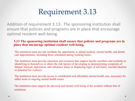### Requirement 3.13

Addition of requirement 3.13: The sponsoring institution shall ensure that policies and programs are in place that encourage optimal resident well-being.

#### **3.13 The sponsoring institution shall ensure that policies and programs are in place that encourage optimal resident well-being.**

The institution must provide residents the opportunity to attend medical, mental health, and dental care appointments, including those scheduled during working hours.

The institution must provide education and resources that support faculty members and residents in identifying in themselves or others the risk factors of developing or demonstrating symptoms of fatigue, burnout, depression, and substance abuse or displaying signs of self-harm, suicidal ideation or potential for violence.

The institution must provide access to confidential and affordable mental health care, necessary for either acute or ongoing mental health issues.

The institution must support the physical and mental well-being of the resident without fear of retaliation.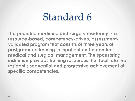## Standard 6

**The podiatric medicine and surgery residency is a resource-based, competency-driven, assessmentvalidated program that consists of three years of postgraduate training in inpatient and outpatient medical and surgical management. The sponsoring institution provides training resources that facilitate the resident's sequential and progressive achievement of specific competencies.**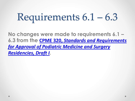# Requirements 6.1 – 6.3

**No changes were made to requirements 6.1 – 6.3 from the CPME 320,** *Standards and Requirements for Approval of Podiatric Medicine and Surgery Residencies, Draft I.*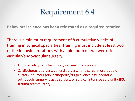### Requirement 6.4

**Behavioral science has been reinstated as a required rotation.**

There is a minimum requirement of 8 cumulative weeks of training in surgical specialties. Training must include at least two of the following rotations with a minimum of two weeks in vascular/endovascular surgery.

- Endovascular/Vascular surgery (at least two weeks)
- Cardiothoracic surgery, general surgery, hand surgery, orthopedic surgery, neurosurgery, orthopedic/surgical oncology, pediatric orthopedic surgery, plastic surgery, or surgical intensive care unit (SICU), trauma team/surgery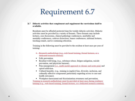#### Requirement 6.7

#### 6.7 Didactic activities that complement and supplement the curriculum shall be available.

Residents must be afforded protected time for weekly didactic activities. Didactic activities must be provided in a variety of formats. These formats may include lectures, case discussions, clinical pathology conferences, morbidity and mortality conferences, cadaver dissections, tumor conferences, informal lectures, teaching rounds, and/or continuing education.

Training in the following must be provided to the resident at least once per year of training:

- Research methodology (e.g., web-based training, formal lectures, or a dedicated research rotation).
- Falls prevention.
- Resident well-being, (e.g., substance abuse, fatigue mitigation, suicide prevention, and physician burnout).
- Pain management (i.e., multi-modal approach to chronic and acute pain) and opioid addiction.
- Cultural humility, (e.g., training in implicit bias, diversity, inclusion, and culturally effective components particularly regarding access to care and health outcomes).

• Workplace harassment and discrimination awareness and prevention. Training in research methodology must be provided at least once during residency training (e.g., web-based training, formal lectures, or a dedicated research rotation).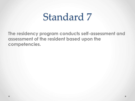## Standard 7

**The residency program conducts self-assessment and assessment of the resident based upon the competencies.**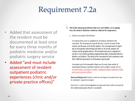### Requirement 7.2a

- Added that assessment of the resident must be documented at least once for every three months of podiatric medicine and/or podiatric surgery service
- Added "and must include assessment of resident outpatient podiatric experiences (clinic and/or private practice offices)"

#### 7.2 The faculty and program director shall assess and validate, on an ongoing basis, the extent to which the resident has achieved the competencies.

a. Faculty Assessment of the Resident

Assessment forms must be completed for all rotations identified in the curriculum. The document must specify the dates covered, the name of the resident, and the name of the faculty member. The assessment must be signed and/or electronically acknowledged and dated by the faculty member, the resident, and the program director. The document must assess competencies specific to each rotation including communication skills, professional behavior, attitudes, and initiative. The timing of the assessment for each competency must allow sufficient opportunity for performance improvement.

Assessment must be documented at least once for every three months of uninterrupted training in podiatric medicine and/or podiatric surgery service and must include assessment of resident outpatient podiatric experiences (clinic and/or private practice offices).

Intent and Background: Podiatric medicine and surgery assessment forms may be combined or separate documents.

Electronic or written acknowledgement of receipt and review of the assessment by the resident and program director is acceptable.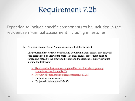#### Requirement 7.2b

Expanded to include specific components to be included in the resident semi-annual assessment including milestones

b. Program Director Semi-Annual Assessment of the Resident

The program director must conduct and document a semi-annual meeting with each resident on an individual basis. The semi-annual assessment must be signed and dated by the program director and the resident. This review must include the following:

- Review of milestones as completed by the clinical competency committee (see Appendix C)
- Review of completed rotation assessments (7.2a)
- In-training examinations
- Projected attainment of MAVs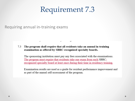#### Requirement 7.3

Requiring annual in-training exams

#### $7.3$ The program shall require that all residents take an annual in-training examination as offered by SBRC-recognized specialty boards.

The sponsoring institution must pay any fees associated with the examinations. The program must require that residents take one exam from each SBRCrecognized specialty board at least once during their time in residency training.

Examination results are used as a guide for resident performance improvement and as part of the annual self-assessment of the program.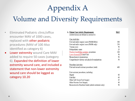### Appendix A

#### Volume and Diversity Requirements

- Eliminated Podiatric clinic/office encounter MAV of 1000 cases, replaced with other podiatric procedures (MAV of 100 Also identified as category 6)
- Lower extremity wound Care MAV added to require 50 cases (category 6). Expanded the definition of lower extremity wound care, and included a statement that non-lower extremity wound care should be logged as category 10.20

| A. Patient Care Activity Requirements                 | <b>MAV</b> |
|-------------------------------------------------------|------------|
| (Abbreviations are defined in section B.)             |            |
|                                                       |            |
| Case Activities                                       |            |
| Foot and ankle surgical cases (PMSR/RRA)              | 300        |
| Foot and ankle surgical cases (PMSR only)             | 250        |
| Trauma cases                                          | 50         |
| Podopediatric cases                                   | 25         |
| Practice-basedOther podiatric procedures              | 100        |
| Lower Extremity Wound Care                            | 50         |
| Biomechanical examinations                            | 50         |
| Comprehensive history and physical examinations       | 50         |
| Procedure Activities                                  |            |
| First and second assistant procedures (total)         | 400        |
| First assistant procedures, including:                |            |
| Digital                                               | 80         |
| First Ray                                             | 60         |
| Other Soft Tissue Foot Surgery                        | 45         |
| Other Osseous Foot Surgery                            | 40         |
| Reconstructive Rearfoot/Ankle (added credential only) | 50         |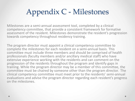## Appendix C - Milestones

Milestones are a semi-annual assessment tool, completed by a clinical competency committee, that provide a consistent framework for formative assessment of the resident. Milestones demonstrate the resident's progression towards competency throughout residency training.

The program director must appoint a clinical competency committee to complete the milestones for each resident on a semi-annual basis. This committee must include three members and should be comprised of health professionals (faculty members and/or ancillary medical staff) who have extensive experience working with the residents and can comment on the progression of the residents throughout the program and identify gaps in training. While the program director may be a member of this committee, the committee must be chaired by someone other than the program director. The clinical competency committee must meet prior to the residents' semi-annual evaluations and advise the program director regarding each resident's progress on the milestones.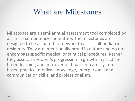#### What are Milestones

Milestones are a semi-annual assessment tool completed by a clinical competency committee. The milestones are designed to be a shared framework to assess all podiatric residents. They are intentionally broad in nature and do not encompass specific medical or surgical procedures. Rather, they assess a resident's progression in growth in practicebased learning and improvement, patient care, systemsbased practice, medical knowledge, interpersonal and communication skills, and professionalism.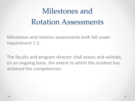## Milestones and Rotation Assessments

Milestones and rotation assessments both fall under requirement 7.2:

The faculty and program director shall assess and validate, on an ongoing basis, the extent to which the resident has achieved the competencies.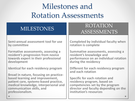### Milestones and Rotation Assessments

**Semi-annual assessment tool for use by committee**

**Formative assessments, assessing a resident's progression from novice towards expert in their professional development**

**Identical for each residency program**

**Broad in nature, focusing on practice- based learning and improvement, patient care, systems-based practice, medical knowledge, interpersonal and communication skills, and professionalism.**

#### MILESTONES ROTATION ASSESSMENTS

**Completed by individual faculty when rotation is complete**

**Summative assessments, assessing a resident's knowledge and performance on an individual rotation during the residency**

**Different for each residency program and each rotation**

**Specific for each rotation and residency program, based on competencies set by the program director and faculty depending on the institution's resources**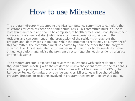#### How to use Milestones

The program director must appoint a clinical competency committee to complete the milestones for each resident on a semi-annual basis. This committee must include at least three members and should be comprised of health professionals (faculty members and/or ancillary medical staff) who have extensive experience working with the residents and can comment on the progression of the residents throughout the program and identify gaps in training. While the program director may be a member of this committee, the committee must be chaired by someone other than the program<br>director. The clinical competency committee must meet prior to the residents' semiannual evaluations and advise the program director regarding each resident's progress on the milestones.

The program director is expected to review the milestones with each resident during the semi-annual meeting with the resident to review the extent to which the resident is achieving the program competencies. Milestones will not be shared with CPME, the Residency Review Committee, or outside agencies. Milestones will be shared with program directors for residents involved in program transfers or in fellowship training.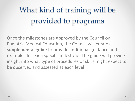## What kind of training will be provided to programs

Once the milestones are approved by the Council on Podiatric Medical Education, the Council will create a **supplemental guide** to provide additional guidance and examples for each specific milestone. The guide will provide insight into what type of procedures or skills might expect to be observed and assessed at each level.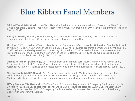#### Blue Ribbon Panel Members

**Michael Trepal, DPM (Chair);** New York, NY – Vice President for Academic Affairs and Dean at the New York College Podiatric Medicine. Program Director for the PMSR/RRA program at SUNY Downstate. Immediate former Chair of CPME.

**Jeffrey M Brewer, PharmD, BCACP**; Albany, NY – Director of Professional Affairs, past residency director, residency preceptor, former Chair, Residency and Fellowship Committee.

**Tim Ford, DPM; Louisville, KY** – Associate Professor, Department of Orthopaedics University of Louisville School of Medicine. Director, University of Louisville PMSR/RRA and Fellowship programs. Former Chair, CPME and RRC. CPME residency and college evaluator. University of Louisville ACGME accreditation subcommittee member. President/Chief of the Medical Staff University of Louisville Health. University of Louisville Leadership and Innovation in Academic Medicine (LIAM) Graduate.

**Charles Hatem, MD; Cambridge, MA** – Retired from adult primary care internal medicine and former Chair, Department of Medical Education/Mount Auburn Hospital. Responsibilities included medical student and resident education; established and directed fellowships in medical education for Harvard faculty (1998 – 2021).

**Neil Kothari, MD, FACP; Newark, NJ** – Associate Dean for Graduate Medical Education, Rutgers New Jersey Medical School; former Internal Medicine Residency Director, Rutgers NJMS, member of ACGME Internal Medicine Milestones 2.0 Workgroup, residency evaluator and clinical competency committee member.

**Tiffany Murano, MD; New York, NY** – Vice Chair of Education, Department of Emergency Medicine, Columbia University. Associate Designated Institutional Official, NY-Presbyterian Hospital. ACGME EM Milestones 2.0 Working Group member, ACGME Emergency Medicine Review Committee, President, Council of Residency Directors in Emergency Medicine.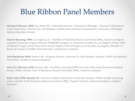#### Blue Ribbon Panel Members

**Michael E Munson, DPM**; Ann Arbor MI – Fellowship Director- University of Michigan - Research Fellowship in Limb Preservation, Wound Care, and Diabetes related lower extremity complications. University of Michigan Medical Education Scholar.

**Aksone Nouvong, DPM**; Los Angeles, CA – Member of Residency Review Committee (RRC), residency program evaluator, Associate Program Director, PMSR/RRA program at University of California, Los Angeles (UCLA), Chief of Podiatric Surgery Olive View-UCLA, Interim Deputy Chief of Surgery at VA Greater Los Angeles, Member of Board of Trustees at OVMC-UCLA Education and Research Institute.

**Josh Rhodenizer DPM**; Detroit, MI – Program Director, Ascension St. John Hospital, member, CPME Accreditation Committee, residency program evaluator.

**John (J.T.) Marcoux, DPM**; Boston, MA – Ex-officio, incoming CPME vice-chair; Beth Israel Deaconess Medical Center. CPME member, Chair of Residency Review Committee (RRC), residency evaluator.

**Keith Cook, DPM; Newark, NJ** – Director, Podiatry Department University Hospital, CPME member (incoming chair), member of the Residency Review Committee (RRC), Program Director, University Hospital, residency evaluator.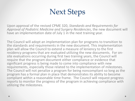### Next Steps

Upon approval of the revised CPME 320, *Standards and Requirements for Approval of Podiatric Medicine and Surgery Residencies*, the new document will have an implementation date of July 1 in the next training year.

The Council will adopt an implementation plan for programs to transition to the standards and requirements in the new document. This implementation plan will allow the Council to extend a measure of leniency to the first residency programs that are evaluated utilizing the new documents. For on-<br>site evaluations occurring during first two training years, the Council will require that the program document either compliance or evidence that significant progress is being made to come into compliance with new requirements, especially those related to the implementation of milestones. The Council will not penalize a program for being noncompliant so long as the program has a formal plan in place that demonstrates its ability to become compliant within a reasonable time frame. The Council will request progress reports to monitor the progress of the program in achieving compliance with utilizing the milestones.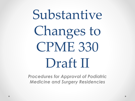# Substantive Changes to CPME 330 Draft II

*Procedures for Approval of Podiatric Medicine and Surgery Residencies*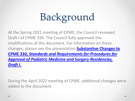# Background

At the Spring 2021 meeting of CPME, the Council reviewed Draft I of CPME 330. The Council fully approved the modifications of the document. For information on these changes, please see the presentation **Substantive Changes to CPME 330,** *Standards and Requirements for Procedures for Approval of Podiatric Medicine and Surgery Residencies, Draft I.* 

During the April 2022 meeting of CPME, additional changes were added to the document.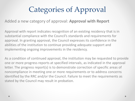### Categories of Approval

Added a new category of approval: **Approval with Report**

Approval with report indicates recognition of an existing residency that is in substantial compliance with the Council's standards and requirements for approval. In granting approval, the Council expresses its confidence in the abilities of the institution to continue providing adequate support and implementing ongoing improvements in the residency.

As a condition of continued approval, the institution may be requested to provide one or more progress reports at specified intervals, as indicated in the approval letter. The progress report(s) is to demonstrate correction of specific areas of noncompliance in meeting one or more requirements or to address concerns identified by the RRC and/or the Council. Failure to meet the requirements as stated by the Council may result in probation.